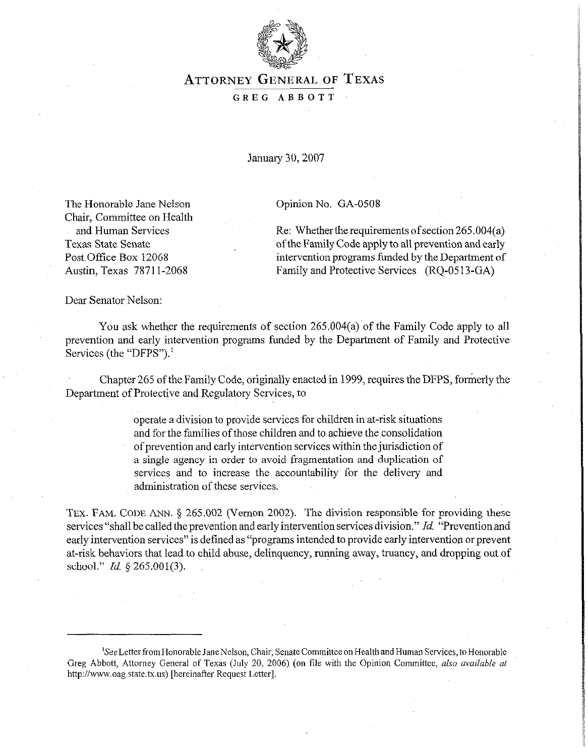

## **ATTORNEY GENERAL OF TEXAS GREG ABBOTT**

*January30,2007* 

Opinion No. GA-0508

The Honorable Jane Nelson Chair, Committee on Health and Human Services Texas State Senate Post.Office Box 12068 Austin, Texas 7871 l-2068

Re: Whether the requirements of section  $265.004(a)$ of the Family Code apply to all prevention and early intervention programs funded by the Department of Family and Protective Services (RO-0513-GA)

Dear Senator Nelson:

You ask whether the requirements of section 265.004(a) of the Family Code apply to all prevention and early intervention programs funded by the Department of Family and Protective Services (the "DFPS").'

Chapter 265 of the Family Code, originally enacted in 1999, requires the DFPS, formerly the Department of Protective and Regulatory Services, to

> operate a division to provide services for children in at-risk situations and for the families of those children and to achieve the consolidation of prevention and early intervention services within the jurisdiction of a single agency in order to avoid fragmentation and duplication of services and to increase the accountability for the delivery and administration of these services.

**TEX. FAM. CODE** ANN. § 265.002 (Vernon 2002). The division responsible for providing these services "shall be called the prevention and early intervention services division." *Id* "Prevention and early intervention services" is defined as "programs intended to provide early intervention or prevent at-risk behaviors that lead to child abuse, delinquency, running away, truancy, and dropping out of school." *Id.* § 265.001(3).

<sup>&</sup>lt;sup>1</sup>See Letter from Honorable Jane Nelson, Chair, Senate Committee on Health and Human Services, to Honorable Greg Abbott, Attorney General of Texas (July 20, 2006) (on tile with the Opinion Committee, also *available of*  http://www.oag.state.tx.us) [hereinafier Request Letter].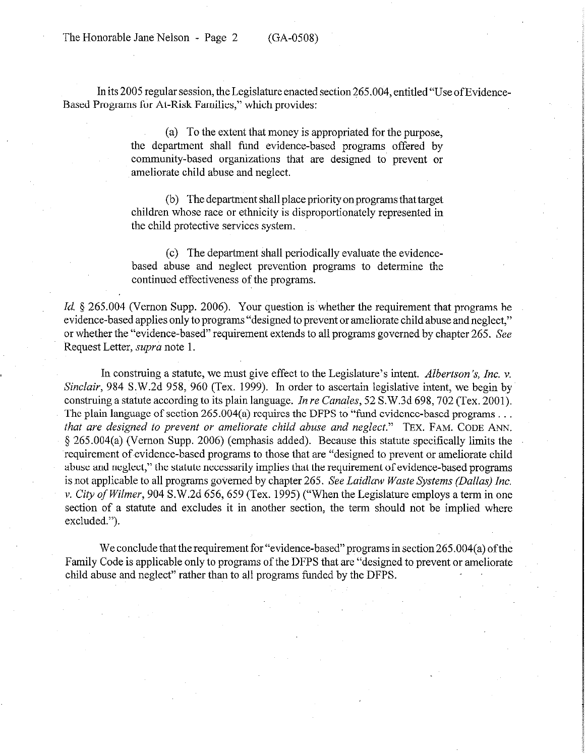The Honorable Jane Nelson - Page 2 (GA-0508)

In its 2005 regular session, the Legislature enacted section 265.004, entitled "Use of Evidence-Based Programs for At-Risk Families," which provides:

> (a) To the extent that money is appropriated for the purpose, the department shall fund evidence-based programs offered by community-based organizations that are designed to prevent or ameliorate child abuse and neglect.

> (b) The department shall place priority on programs that target children whose race or ethnicity is disproportionately represented in the child protective services system.

> (c) The department shall periodically evaluate the evidencebased abuse and neglect prevention programs to determine the continued effectiveness of the programs.

*Id.* § 265.004 (Vernon Supp. 2006). Your question is whether the requirement that programs be evidence-based applies only to programs "designed to prevent or ameliorate child abuse and neglect," or whether the "evidence-based" requirement extends to all programs governed by chapter 265. See Request Letter, supra note 1.

In construing a statute, we must give effect to the Legislature's intent. *Albertson 's, Inc. v.*  Sinclair, 984 S.W.2d 958, 960 (Tex. 1999). In order to ascertain legislative intent, we begin by construing a statute according to its plain language. *In re Canales, 52* S.W.3d 698,702 (Tex. 2001). The plain language of section 265.004(a) requires the DFPS to "fund evidence-based programs ... *that are designed to prevent or ameliorate child abuse and neglect."* **TEX. FAM. CODE ANN.**  5 265.004(a) (Vernon Supp. 2006) (emphasis added). Because this statute specifically limits the requirement of evidence-based programs to those that are "designed to prevent or ameliorate child abuse and neglect," the statute necessarily implies that the requirement of evidence-based programs is not applicable to all programs governed by chapter 265. See *Laidlaw Waste Systems (Dallas) Inc.*  v. *City of Wilmev,* 904 S.W.2d 656,659 (Tex. 1995) ("When the Legislature employs a term in one section of a statute and excludes it in another section, the term should not be implied where excluded.").

We conclude that the requirement for "evidence-based" programs in section 265.004(a) of the Family Code is applicable only to programs of the DFPS that are "designed to prevent or ameliorate child abuse and neglect" rather than to all programs funded by the DFPS.